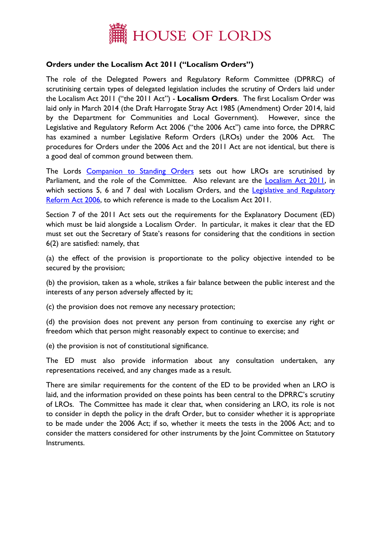

## **Orders under the Localism Act 2011 ("Localism Orders")**

The role of the Delegated Powers and Regulatory Reform Committee (DPRRC) of scrutinising certain types of delegated legislation includes the scrutiny of Orders laid under the Localism Act 2011 ("the 2011 Act") - **Localism Orders**. The first Localism Order was laid only in March 2014 (the Draft Harrogate Stray Act 1985 (Amendment) Order 2014, laid by the Department for Communities and Local Government). However, since the Legislative and Regulatory Reform Act 2006 ("the 2006 Act") came into force, the DPRRC has examined a number Legislative Reform Orders (LROs) under the 2006 Act. The procedures for Orders under the 2006 Act and the 2011 Act are not identical, but there is a good deal of common ground between them.

The Lords [Companion to Standing Orders](http://www.publications.parliament.uk/pa/ld/ldcomp/compso2010/ldctso13.htm#a236) sets out how LROs are scrutinised by Parliament, and the role of the Committee. Also relevant are the [Localism Act 2011,](http://www.legislation.gov.uk/ukpga/2011/20/contents/enacted) in which sections 5, 6 and 7 deal with Localism Orders, and the Legislative and Regulatory [Reform Act 2006,](http://www.legislation.gov.uk/ukpga/2006/51/contents) to which reference is made to the Localism Act 2011.

Section 7 of the 2011 Act sets out the requirements for the Explanatory Document (ED) which must be laid alongside a Localism Order. In particular, it makes it clear that the ED must set out the Secretary of State's reasons for considering that the conditions in section 6(2) are satisfied: namely, that

(a) the effect of the provision is proportionate to the policy objective intended to be secured by the provision;

(b) the provision, taken as a whole, strikes a fair balance between the public interest and the interests of any person adversely affected by it;

(c) the provision does not remove any necessary protection;

(d) the provision does not prevent any person from continuing to exercise any right or freedom which that person might reasonably expect to continue to exercise; and

(e) the provision is not of constitutional significance.

The ED must also provide information about any consultation undertaken, any representations received, and any changes made as a result.

There are similar requirements for the content of the ED to be provided when an LRO is laid, and the information provided on these points has been central to the DPRRC's scrutiny of LROs. The Committee has made it clear that, when considering an LRO, its role is not to consider in depth the policy in the draft Order, but to consider whether it is appropriate to be made under the 2006 Act; if so, whether it meets the tests in the 2006 Act; and to consider the matters considered for other instruments by the Joint Committee on Statutory Instruments.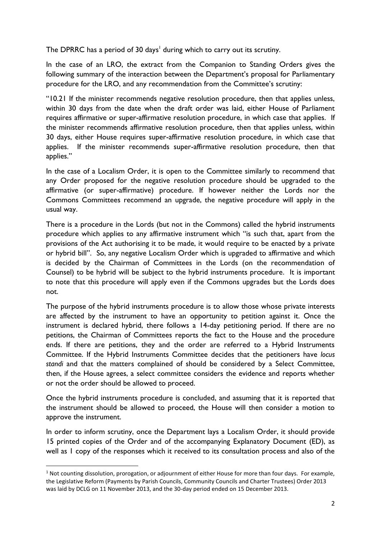The DPRRC has a period of 30 days<sup>1</sup> during which to carry out its scrutiny.

In the case of an LRO, the extract from the Companion to Standing Orders gives the following summary of the interaction between the Department's proposal for Parliamentary procedure for the LRO, and any recommendation from the Committee's scrutiny:

"10.21 If the minister recommends negative resolution procedure, then that applies unless, within 30 days from the date when the draft order was laid, either House of Parliament requires affirmative or super-affirmative resolution procedure, in which case that applies. If the minister recommends affirmative resolution procedure, then that applies unless, within 30 days, either House requires super-affirmative resolution procedure, in which case that applies. If the minister recommends super-affirmative resolution procedure, then that applies."

In the case of a Localism Order, it is open to the Committee similarly to recommend that any Order proposed for the negative resolution procedure should be upgraded to the affirmative (or super-affirmative) procedure. If however neither the Lords nor the Commons Committees recommend an upgrade, the negative procedure will apply in the usual way.

There is a procedure in the Lords (but not in the Commons) called the hybrid instruments procedure which applies to any affirmative instrument which "is such that, apart from the provisions of the Act authorising it to be made, it would require to be enacted by a private or hybrid bill". So, any negative Localism Order which is upgraded to affirmative and which is decided by the Chairman of Committees in the Lords (on the recommendation of Counsel) to be hybrid will be subject to the hybrid instruments procedure. It is important to note that this procedure will apply even if the Commons upgrades but the Lords does not.

The purpose of the hybrid instruments procedure is to allow those whose private interests are affected by the instrument to have an opportunity to petition against it. Once the instrument is declared hybrid, there follows a 14-day petitioning period. If there are no petitions, the Chairman of Committees reports the fact to the House and the procedure ends. If there are petitions, they and the order are referred to a Hybrid Instruments Committee. If the Hybrid Instruments Committee decides that the petitioners have *locus standi* and that the matters complained of should be considered by a Select Committee, then, if the House agrees, a select committee considers the evidence and reports whether or not the order should be allowed to proceed.

Once the hybrid instruments procedure is concluded, and assuming that it is reported that the instrument should be allowed to proceed, the House will then consider a motion to approve the instrument.

In order to inform scrutiny, once the Department lays a Localism Order, it should provide 15 printed copies of the Order and of the accompanying Explanatory Document (ED), as well as 1 copy of the responses which it received to its consultation process and also of the

**.** 

 $1$  Not counting dissolution, prorogation, or adjournment of either House for more than four days. For example, the Legislative Reform (Payments by Parish Councils, Community Councils and Charter Trustees) Order 2013 was laid by DCLG on 11 November 2013, and the 30-day period ended on 15 December 2013.